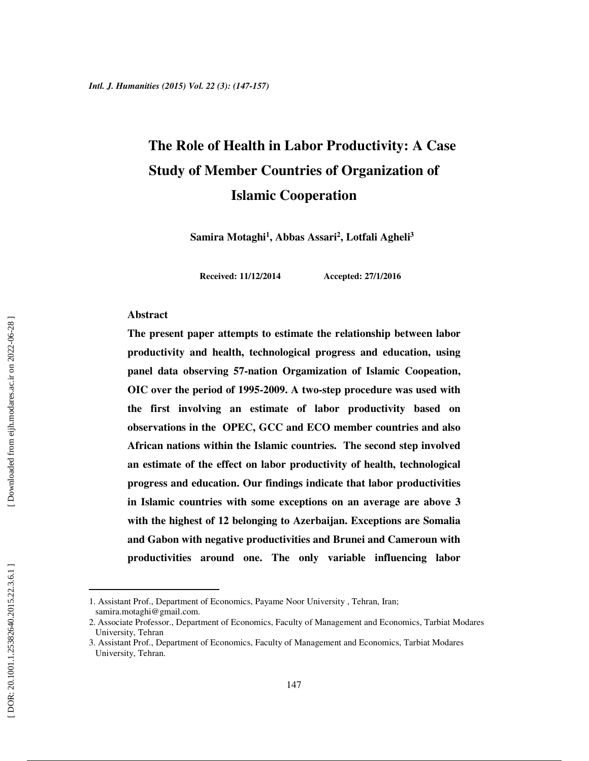# **The Role of Health in Labor Productivity: A Case Study of Member Countries of Organization of Islamic Cooperation**

**Samira Motaghi 1 , Abbas Assari 2 , Lotfali Agheli 3**

**Received: 11/12/2014 Accepted: 27/1/2016**

#### **Abstract**

**The present paper attempts to estimate the relationship between labor productivity and health, technological progress and education, using panel data observing 57-nation Orgamization of Islamic Coopeation, OIC over the period of 1995-2009. A two-step procedure was used with the first involving an estimate of labor productivity based on observations in the OPEC, GCC and ECO member countries and also African nations within the Islamic countries. The second step involved an estimate of the effect on labor productivity of health, technological progress and education. Our findings indicate that labor productivities in Islamic countries with some exceptions on an average are above 3 with the highest of 12 belonging to Azerbaijan. Exceptions are Somalia and Gabon with negative productivities and Brunei and Cameroun with productivities around one. The only variable influencing labor** 

l

<sup>1.</sup> Assistant Prof., Department of Economics, Payame Noor University , Tehran, Iran; samira.motaghi@gmail.com.

<sup>2.</sup> Associate Professor., Department of Economics, Faculty of Management and Economics, Tarbiat Modares University, Tehran

<sup>3.</sup> Assistant Prof., Department of Economics, Faculty of Management and Economics, Tarbiat Modares University, Tehran.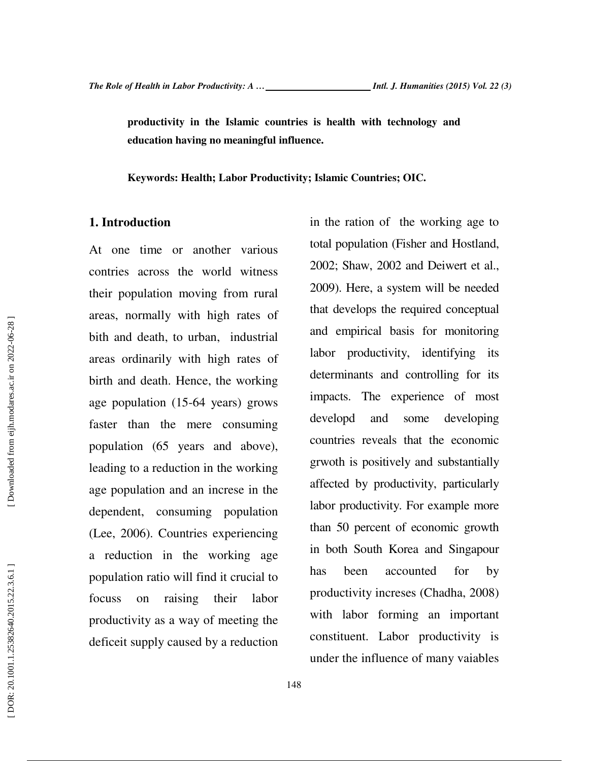**productivity in the Islamic countries is health with technology and education having no meaningful influence.** 

**Keywords: Health; Labor Productivity; Islamic Countries; OIC.** 

### **1. Introduction**

At one time or another various contries across the world witness their population moving from rural areas, normally with high rates of bith and death, to urban, industrial areas ordinarily with high rates of birth and death. Hence, the working age population (15-64 years) grows faster than the mere consuming population (65 years and above), leading to a reduction in the working age population and an increse in the dependent, consuming population (Lee, 2006). Countries experiencing a reduction in the working age population ratio will find it crucial to focuss on raising their labor productivity as a way of meeting the deficeit supply caused by a reduction

in the ration of the working age to total population (Fisher and Hostland, 2002; Shaw, 2002 and Deiwert et al., 2009). Here, a system will be needed that develops the required conceptual and empirical basis for monitoring labor productivity, identifying its determinants and controlling for its impacts. The experience of most developd and some developing countries reveals that the economic grwoth is positively and substantially affected by productivity, particularly labor productivity. For example more than 50 percent of economic growth in both South Korea and Singapour has been accounted for by productivity increses (Chadha, 2008) with labor forming an important constituent. Labor productivity is under the influence of many vaiables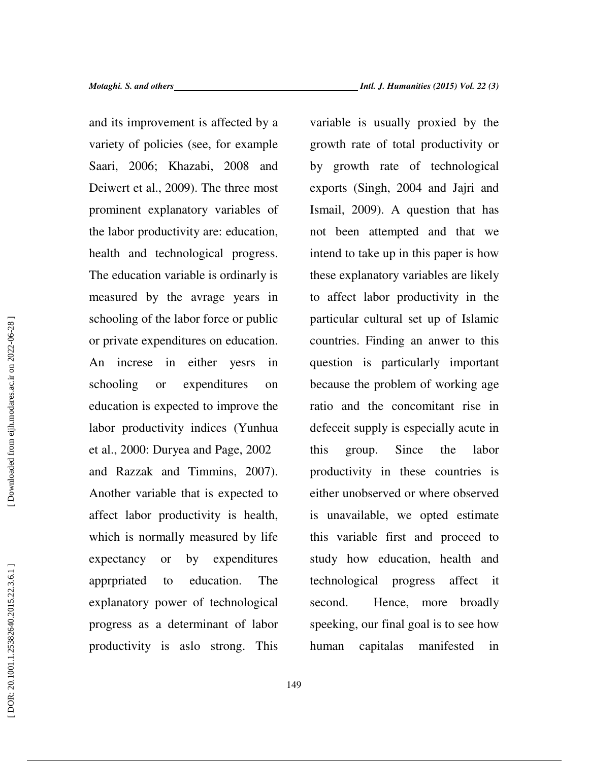and its improvement is affected by a variety of policies (see, for example Saari, 2006; Khazabi, 2008 and Deiwert et al., 2009). The three most prominent explanatory variables of the labor productivity are: education, health and technological progress. The education variable is ordinarly is measured by the avrage years in schooling of the labor force or public or private expenditures on education. An increse in either yesrs in schooling or expenditures on education is expected to improve the labor productivity indices (Yunhua et al., 2000: Duryea and Page, 2002 and Razzak and Timmins, 2007). Another variable that is expected to affect labor productivity is health, which is normally measured by life expectancy or by expenditures apprpriated to education. The explanatory power of technological progress as a determinant of labor productivity is aslo strong. This variable is usually proxied by the growth rate of total productivity or by growth rate of technological exports (Singh, 2004 and Jajri and Ismail, 2009). A question that has not been attempted and that we intend to take up in this paper is how these explanatory variables are likely to affect labor productivity in the particular cultural set up of Islamic countries. Finding an anwer to this question is particularly important because the problem of working age ratio and the concomitant rise in defeceit supply is especially acute in this group. Since the labor productivity in these countries is either unobserved or where observed is unavailable, we opted estimate this variable first and proceed to study how education, health and technological progress affect it second. Hence, more broadly speeking, our final goal is to see how human capitalas manifested in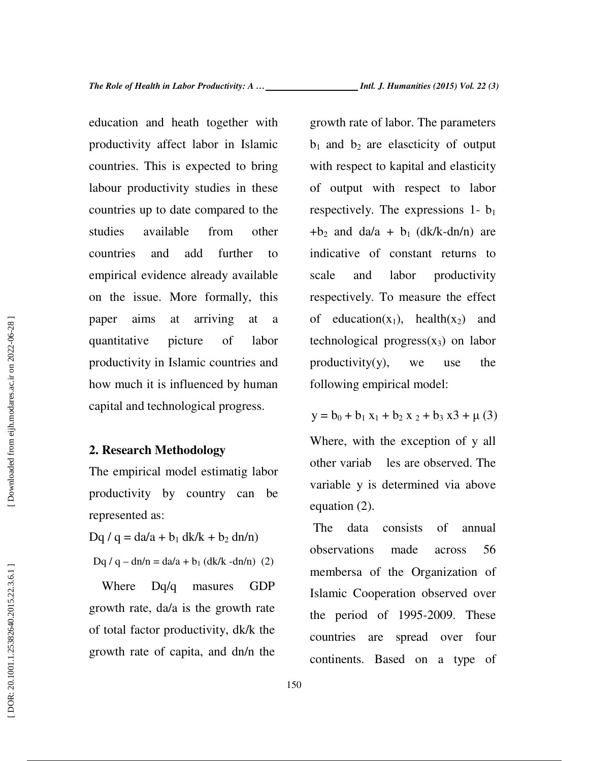education and heath together with productivity affect labor in Islamic countries. This is expected to bring labour productivity studies in these countries up to date compared to the studies available from other countries and add further to empirical evidence already available on the issue. More formally, this paper aims at arriving at a quantitative picture of labor productivity in Islamic countries and how much it is influenced by human capital and technological progress.

### **2. Research Methodology**

The empirical model estimatig labor productivity by country can be represented as:

 $Dq / q = da/a + b_1 dk / k + b_2 dn/n$ 

Dq / q – dn/n = da/a +  $b_1$  (dk/k -dn/n) (2)

Where Dq/q masures GDP growth rate, da/a is the growth rate of total factor productivity, dk/k the growth rate of capita, and dn/n the

growth rate of labor. The parameters  $b_1$  and  $b_2$  are elascticity of output with respect to kapital and elasticity of output with respect to labor respectively. The expressions 1- b<sup>1</sup>  $+b_2$  and da/a + b<sub>1</sub> (dk/k-dn/n) are indicative of constant returns to scale and labor productivity respectively. To measure the effect of education( $x_1$ ), health( $x_2$ ) and technological progress $(x_3)$  on labor productivity(y), we use the following empirical model:

 $y = b_0 + b_1 x_1 + b_2 x_2 + b_3 x_3 + \mu(3)$ Where, with the exception of y all other variab les are observed. The variable y is determined via above equation (2).

 The data consists of annual observations made across 56 membersa of the Organization of Islamic Cooperation observed over the period of 1995-2009. These countries are spread over four continents. Based on a type of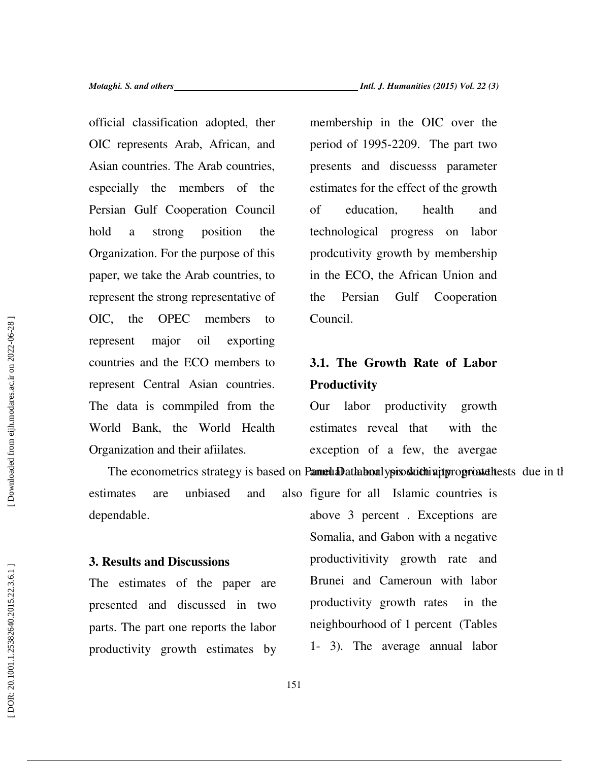*Motaghi. S. and others Intl. J. Humanities (2015) Vol. 22 (3)*

official classification adopted, ther OIC represents Arab, African, and Asian countries. The Arab countries, especially the members of the Persian Gulf Cooperation Council hold a strong position the Organization. For the purpose of this paper, we take the Arab countries, to represent the strong representative of OIC, the OPEC members to represent major oil exporting countries and the ECO members to represent Central Asian countries. The data is commpiled from the World Bank, the World Health Organization and their afiilates.

membership in the OIC over the period of 1995-2209. The part two presents and discuesss parameter estimates for the effect of the growth of education, health and technological progress on labor prodcutivity growth by membership in the ECO, the African Union and the Persian Gulf Cooperation Council.

## **3.1. The Growth Rate of Labor Productivity**

Our labor productivity growth estimates reveal that with the exception of a few, the avergae

The econometrics strategy is based on Pannual Data bioalypis strategy is the propriate these strategy is the stationary and stationary and strategy is the problem of stationary and stationary and the problem of stationary estimates are unbiased and dependable. also figure for all Islamic countries is above 3 percent . Exceptions are

### **3. Results and Discussions**

The estimates of the paper are presented and discussed in two parts. The part one reports the labor productivity growth estimates by Somalia, and Gabon with a negative productivitivity growth rate and Brunei and Cameroun with labor productivity growth rates in the neighbourhood of 1 percent (Tables 1- 3). The average annual labor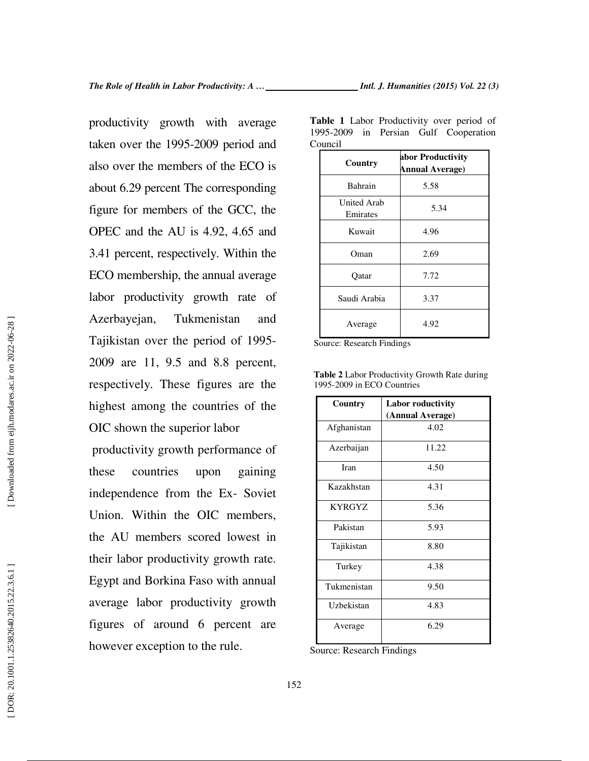productivity growth with average taken over the 1995-2009 period and also over the members of the ECO is about 6.29 percent The corresponding figure for members of the GCC, the OPEC and the AU is 4.92, 4.65 and 3.41 percent, respectively. Within the ECO membership, the annual average labor productivity growth rate of Azerbayejan, Tukmenistan and Tajikistan over the period of 1995- 2009 are 11, 9.5 and 8.8 percent, respectively. These figures are the highest among the countries of the OIC shown the superior labor

 productivity growth performance of these countries upon gaining independence from the Ex- Soviet Union. Within the OIC members, the AU members scored lowest in their labor productivity growth rate. Egypt and Borkina Faso with annual average labor productivity growth figures of around 6 percent are however exception to the rule.

**Table 1** Labor Productivity over period of 1995-2009 in Persian Gulf Cooperation Council

| Country                 | abor Productivity<br><b>Annual Average)</b> |  |
|-------------------------|---------------------------------------------|--|
| Bahrain                 | 5.58                                        |  |
| United Arab<br>Emirates | 5.34                                        |  |
| Kuwait                  | 4.96                                        |  |
| Oman                    | 2.69                                        |  |
| Oatar                   | 7.72                                        |  |
| Saudi Arabia            | 3.37                                        |  |
| Average                 | 4.92                                        |  |

Source: Research Findings

| <b>Labor roductivity</b> |  |
|--------------------------|--|
| (Annual Average)         |  |
| 4.02                     |  |
| 11.22                    |  |
| 4.50                     |  |
| 4.31                     |  |
| 5.36                     |  |
| 5.93                     |  |
| 8.80                     |  |
| 4.38                     |  |
| 9.50                     |  |
| 4.83                     |  |
| 6.29                     |  |
|                          |  |

**Table 2** Labor Productivity Growth Rate during 1995-2009 in ECO Countries

Source: Research Findings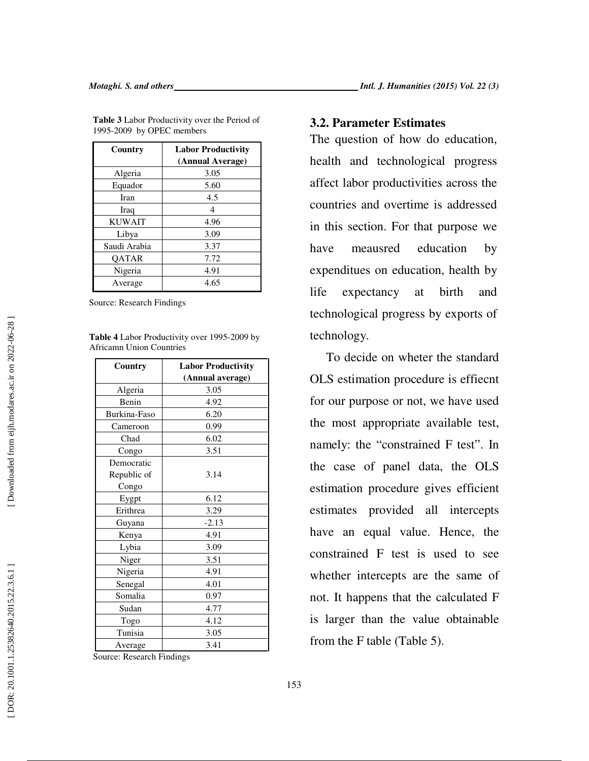| Country       | <b>Labor Productivity</b><br>(Annual Average) |  |
|---------------|-----------------------------------------------|--|
| Algeria       | 3.05                                          |  |
| Equador       | 5.60                                          |  |
| <b>Iran</b>   | 4.5                                           |  |
| Iraq          | 4                                             |  |
| <b>KUWAIT</b> | 4.96                                          |  |
| Libya         | 3.09                                          |  |
| Saudi Arabia  | 3.37                                          |  |
| <b>OATAR</b>  | 7.72                                          |  |
| Nigeria       | 4.91                                          |  |
| Average       | 4.65                                          |  |

**Table 3** Labor Productivity over the Period of 1995-2009 by OPEC members

Source: Research Findings

| <b>Table 4</b> Labor Productivity over 1995-2009 by |
|-----------------------------------------------------|
| <b>Africamn Union Countries</b>                     |

| Country      | <b>Labor Productivity</b> |  |  |
|--------------|---------------------------|--|--|
|              | (Annual average)          |  |  |
| Algeria      | 3.05                      |  |  |
| Benin        | 4.92                      |  |  |
| Burkina-Faso | 6.20                      |  |  |
| Cameroon     | 0.99                      |  |  |
| Chad         | 6.02                      |  |  |
| Congo        | 3.51                      |  |  |
| Democratic   |                           |  |  |
| Republic of  | 3.14                      |  |  |
| Congo        |                           |  |  |
| Eygpt        | 6.12                      |  |  |
| Erithrea     | 3.29                      |  |  |
| Guyana       | $-2.13$                   |  |  |
| Kenya        | 4.91                      |  |  |
| Lybia        | 3.09                      |  |  |
| Niger        | 3.51                      |  |  |
| Nigeria      | 4.91                      |  |  |
| Senegal      | 4.01                      |  |  |
| Somalia      | 0.97                      |  |  |
| Sudan        | 4.77                      |  |  |
| Togo         | 4.12                      |  |  |
| Tunisia      | 3.05                      |  |  |
| Average      | 3.41                      |  |  |

Source: Research Findings

### **3.2. Parameter Estimates**

The question of how do education, health and technological progress affect labor productivities across the countries and overtime is addressed in this section. For that purpose we have meausred education by expenditues on education, health by life expectancy at birth and technological progress by exports of technology.

To decide on wheter the standard OLS estimation procedure is effiecnt for our purpose or not, we have used the most appropriate available test, namely: the "constrained F test". In the case of panel data, the OLS estimation procedure gives efficient estimates provided all intercepts have an equal value. Hence, the constrained F test is used to see whether intercepts are the same of not. It happens that the calculated F is larger than the value obtainable from the F table (Table 5).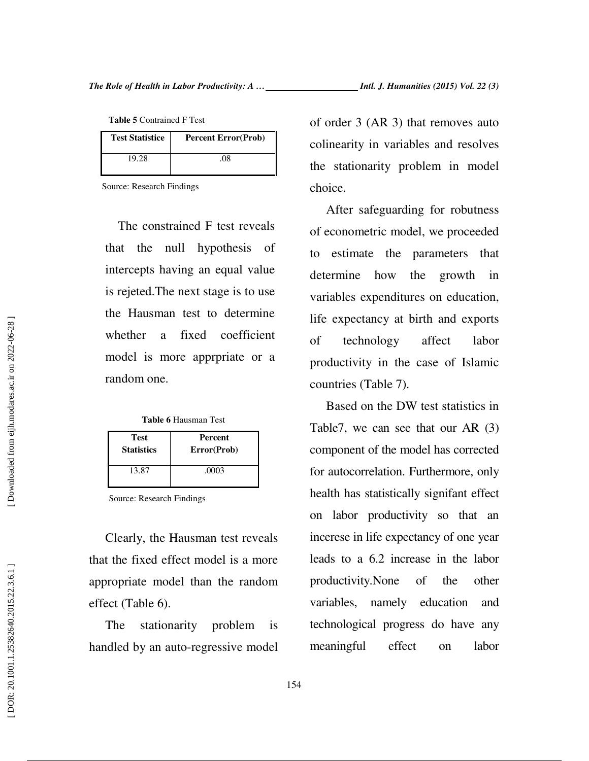**Table 5** Contrained F Test

| <b>Test Statistice</b> | <b>Percent Error(Prob)</b> |
|------------------------|----------------------------|
| 19.28                  | $^{08}$                    |

Source: Research Findings

The constrained F test reveals that the null hypothesis of intercepts having an equal value is rejeted.The next stage is to use the Hausman test to determine whether a fixed coefficient model is more apprpriate or a random one.

**Table 6** Hausman Test

| <b>Test</b>       | Percent     |
|-------------------|-------------|
| <b>Statistics</b> | Error(Prob) |
| 13.87             | .0003       |

Source: Research Findings

Clearly, the Hausman test reveals that the fixed effect model is a more appropriate model than the random effect (Table 6).

The stationarity problem is handled by an auto-regressive model of order 3 (AR 3) that removes auto colinearity in variables and resolves the stationarity problem in model choice.

After safeguarding for robutness of econometric model, we proceeded to estimate the parameters that determine how the growth in variables expenditures on education, life expectancy at birth and exports of technology affect labor productivity in the case of Islamic countries (Table 7).

Based on the DW test statistics in Table7, we can see that our AR (3) component of the model has corrected for autocorrelation. Furthermore, only health has statistically signifant effect on labor productivity so that an incerese in life expectancy of one year leads to a 6.2 increase in the labor productivity.None of the other variables, namely education and technological progress do have any meaningful effect on labor

DOR: 20.1001.1.25382640.2015.22.3.6.1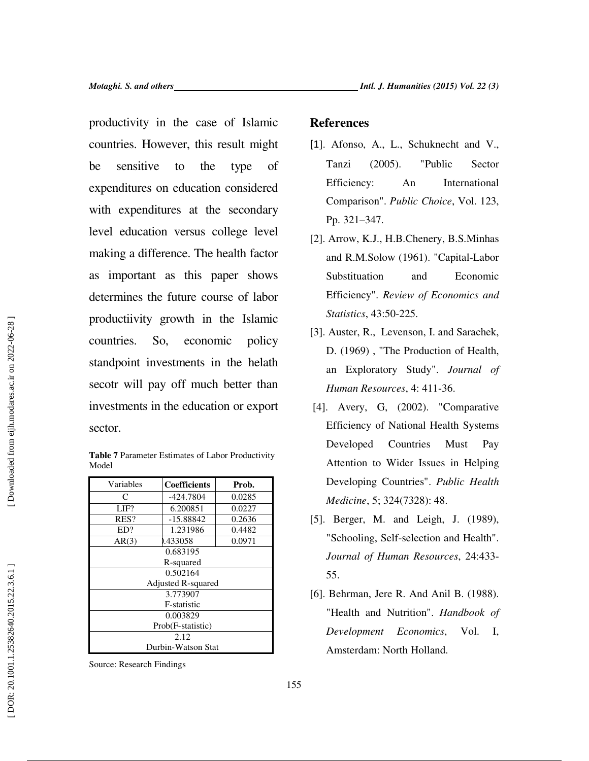productivity in the case of Islamic countries. However, this result might be sensitive to the type of expenditures on education considered with expenditures at the secondary level education versus college level making a difference. The health factor as important as this paper shows determines the future course of labor productiivity growth in the Islamic countries. So, economic policy standpoint investments in the helath secotr will pay off much better than investments in the education or export sector.

**Table 7** Parameter Estimates of Labor Productivity Model

| Variables          | Coefficients | Prob.  |
|--------------------|--------------|--------|
| C                  | -424.7804    | 0.0285 |
| LIF?               | 6.200851     | 0.0227 |
| RES?               | $-15.88842$  | 0.2636 |
| ED?                | 1.231986     | 0.4482 |
| AR(3)              | 0.433058     | 0.0971 |
| 0.683195           |              |        |
| R-squared          |              |        |
| 0.502164           |              |        |
| Adjusted R-squared |              |        |
| 3.773907           |              |        |
| F-statistic        |              |        |
| 0.003829           |              |        |
| Prob(F-statistic)  |              |        |
| 2.12               |              |        |
| Durbin-Watson Stat |              |        |

Source: Research Findings

### **References**

- [1]. Afonso, A., L., Schuknecht and V., Tanzi (2005). "Public Sector Efficiency: An International Comparison". *Public Choice*, Vol. 123, Pp. 321–347.
- [2]. Arrow, K.J., H.B.Chenery, B.S.Minhas and R.M.Solow (1961). "Capital-Labor Substituation and Economic Efficiency". *Review of Economics and Statistics*, 43:50-225.
- [3]. Auster, R., Levenson, I. and Sarachek, D. (1969) , "The Production of Health, an Exploratory Study". *Journal of Human Resources*, 4: 411-36.
- [4]. Avery, G, (2002). "Comparative Efficiency of National Health Systems Developed Countries Must Pay Attention to Wider Issues in Helping Developing Countries". *Public Health Medicine*, 5; 324(7328): 48.
- [5]. Berger, M. and Leigh, J. (1989), "Schooling, Self-selection and Health". *Journal of Human Resources*, 24:433- 55.
- [6]. Behrman, Jere R. And Anil B. (1988). "Health and Nutrition". *Handbook of Development Economics*, Vol. I, Amsterdam: North Holland.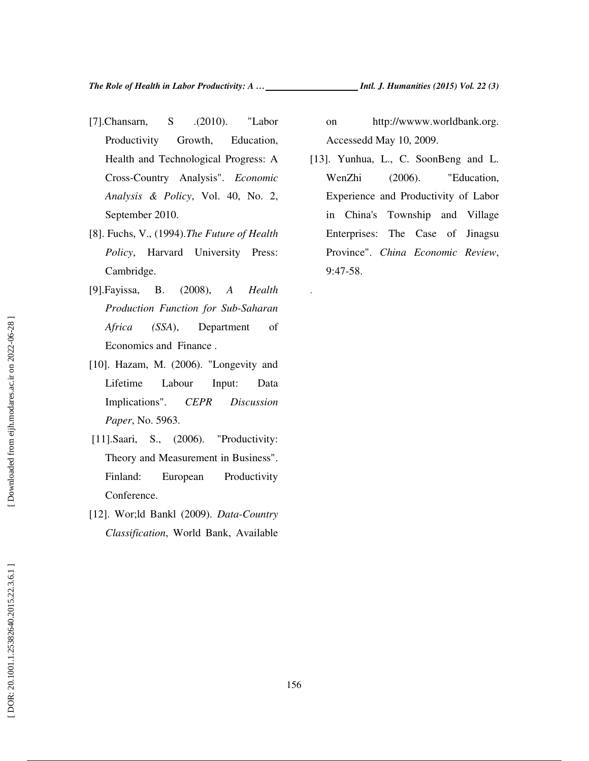- [7].Chansarn, S. .(2010). "Labor Productivity Growth, Education, Health and Technological Progress: A Cross-Country Analysis". *Economic Analysis & Policy*, Vol. 40, No. 2, September 2010.
- [8]. Fuchs, V., (1994).*The Future of Health Policy*, Harvard University Press: Cambridge.
- [9].Fayissa, B. (2008), *A Health Production Function for Sub-Saharan Africa (SSA*), Department of Economics and Finance .
- [10]. Hazam, M. (2006). "Longevity and Lifetime Labour Input: Data Implications". *CEPR Discussion Paper*, No. 5963.
- [11].Saari, S., (2006). "Productivity: Theory and Measurement in Business". Finland: European Productivity Conference.
- [12]. Wor;ld Bankl (2009). *Data-Country Classification*, World Bank, Available

on http://wwww.worldbank.org. Accessedd May 10, 2009.

[13]. Yunhua, L., C. SoonBeng and L. WenZhi (2006). "Education, Experience and Productivity of Labor in China's Township and Village Enterprises: The Case of Jinagsu Province". *China Economic Review*, 9:47-58.

.